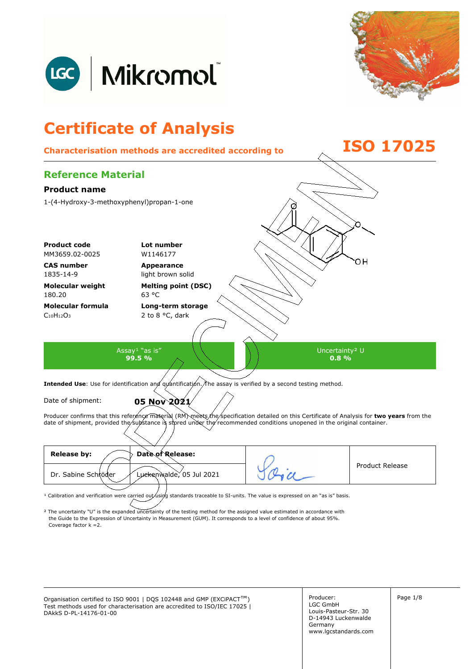



## **Certificate of Analysis Characterisation methods are accredited according to ISO 17025 Reference Material Product name**  1-(4-Hydroxy-3-methoxyphenyl)propan-1-one **Product code Lot number** MM3659.02-0025 W1146177 OН **CAS number Appearance**  1835-14-9 light brown solid **Molecular weight Melting point (DSC)**  180.20 63 °C **Molecular formula Long-term storage**   $C_{10}H_{12}O_3$ 2 to 8 °C, dark Assay<sup>1</sup> "as is" Uncertainty² U **99.5 % 0.8 %**  Intended Use: Use for identification and quantification. The assay is verified by a second testing method. Date of shipment: **05 Nov 2021** Producer confirms that this reference material (RM) meets the specification detailed on this Certificate of Analysis for two years from the date of shipment, provided the substance is stored under the recommended conditions unopened in the original container.

| <b>Release by:</b><br>Date of Release:          |                        |
|-------------------------------------------------|------------------------|
| Luckenwalde, 05 Jul 2021<br>Dr. Sabine Schröder | <b>Product Release</b> |
|                                                 |                        |

<sup>1</sup> Calibration and verification were carried out using standards traceable to SI-units. The value is expressed on an "as is" basis.

² The uncertainty "U" is the expanded uncertainty of the testing method for the assigned value estimated in accordance with Coverage factor k =2. the Guide to the Expression of Uncertainty in Measurement (GUM). It corresponds to a level of confidence of about 95%.

Organisation certified to ISO 9001 | DQS 102448 and GMP (EXCiPACT<sup>™</sup>) Producer: Page 1/8 Test methods used for characterisation are accredited to ISO/IEC 17025 | DAkkS D-PL-14176-01-00

Producer: LGC GmbH Louis-Pasteur-Str. 30 D-14943 Luckenwalde Germany www.lgcstandards.com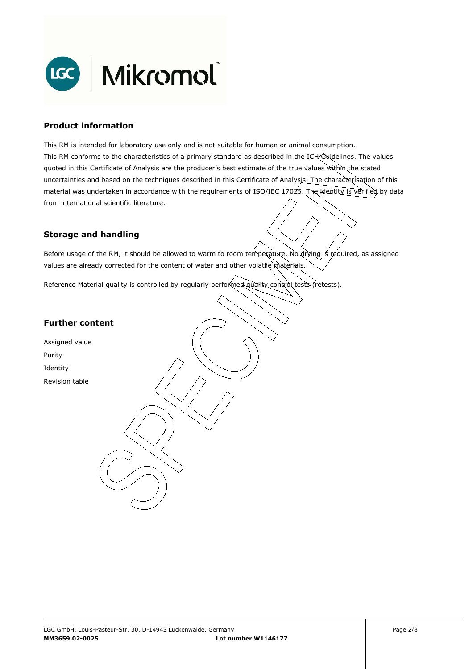

#### **Product information**

This RM is intended for laboratory use only and is not suitable for human or animal consumption. This RM conforms to the characteristics of a primary standard as described in the ICH Guidelines. The values quoted in this Certificate of Analysis are the producer's best estimate of the true values within the stated uncertainties and based on the techniques described in this Certificate of Analysis. The characterisation of this material was undertaken in accordance with the requirements of ISO/IEC 17025. The identity is verified by data from international scientific literature.

#### **Storage and handling**

Before usage of the RM, it should be allowed to warm to room temperature. No drying is required, as assigned values are already corrected for the content of water and other volatile materials.

Reference Material quality is controlled by regularly performed quality control tests (retests).

#### **Further content**

Assigned value Purity Identity Revision table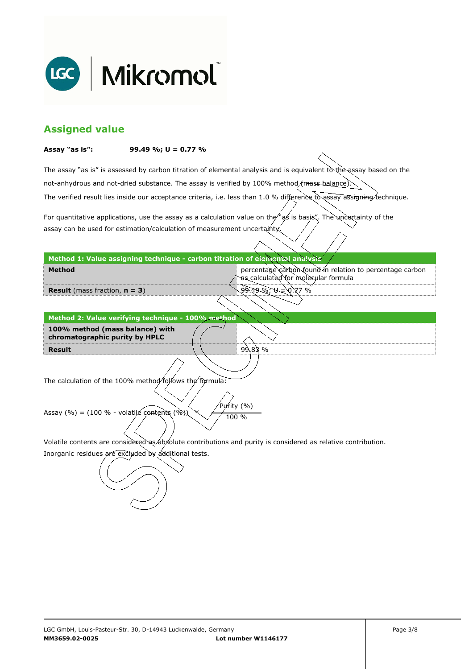

## **Assigned value**

#### **Assay "as is": 99.49 %; U = 0.77 %**

The assay "as is" is assessed by carbon titration of elemental analysis and is equivalent to the assay based on the The verified result lies inside our acceptance criteria, i.e. less than 1.0 % difference to assay assigning technique. not-anhydrous and not-dried substance. The assay is verified by 100% method/mass-balance)

For quantitative applications, use the assay as a calculation value on the  $\gamma$  as is basis". The uncertainty of the assay can be used for estimation/calculation of measurement uncertainty.

#### **Method 1: Value assigning technique - carbon titration of elemental analysis**

percentage carbon found in relation to percentage carbon as calculated for molecular formula

9.49 %; U = 0.77 %

99.83 %

**Result** (mass fraction, **n = 3**)

**Method** 

**Result Method 2: Value verifying technique - 100% method 100% method (mass balance) with chromatographic purity by HPLC** 

The calculation of the 100% method follows the formula:

Purity (%) Assay (%) = (100 % - volatile contents (%)  $\chi$  / 100 %

Volatile contents are considered as absolute contributions and purity is considered as relative contribution.

Inorganic residues are excluded by additional tests.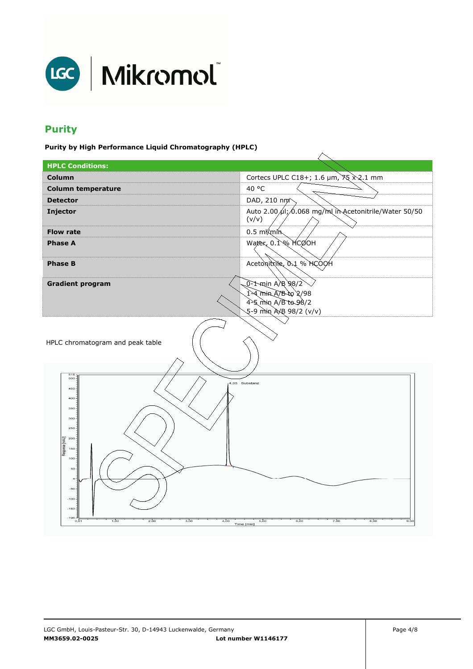

# **Purity**

**Purity by High Performance Liquid Chromatography (HPLC)** 

| --- --- ----- <i>-</i>                            |                                                                |  |
|---------------------------------------------------|----------------------------------------------------------------|--|
| <b>HPLC Conditions:</b>                           |                                                                |  |
| <b>Column</b>                                     | Cortecs UPLC C18+; 1.6 µm, 75 x 2.1 mm                         |  |
| <b>Column temperature</b>                         | 40 °C                                                          |  |
| <b>Detector</b>                                   | DAD, 210 nm <sup>2</sup>                                       |  |
| Injector                                          | Auto 2.00 µl; 0.068 mg/ml in Acetonitrile/Water 50/50<br>(v/v) |  |
| <b>Flow rate</b>                                  | $0.5 \text{ mK}$ min                                           |  |
| <b>Phase A</b>                                    | Water, 0.1% MCOOH                                              |  |
| <b>Phase B</b>                                    | Acetonitrile, 0.1 % HCOOH                                      |  |
| <b>Gradient program</b>                           | 0-1-min A/B 98/2                                               |  |
|                                                   | 1-4 min A/B to 2/98                                            |  |
|                                                   | 4-5 min A/B to 98/2                                            |  |
|                                                   | 5-9 min A/B 98/2 (v/v)                                         |  |
| HPLC chromatogram and peak table                  |                                                                |  |
| 518<br>$500 -$                                    |                                                                |  |
| 450                                               | 4,05 Substanz                                                  |  |
| 400                                               |                                                                |  |
| 350                                               |                                                                |  |
| 300                                               |                                                                |  |
| 250                                               |                                                                |  |
| $_{\rm 200}$<br>Respnse [mAU]                     |                                                                |  |
| 150                                               |                                                                |  |
| $100 -$<br>50                                     |                                                                |  |
| $\circ$                                           |                                                                |  |
| $-50$                                             |                                                                |  |
| $-100$                                            |                                                                |  |
| $-150$                                            |                                                                |  |
| $-196 -$<br>1,00<br>2,00<br>3,00<br>4,00<br>0, 01 | 6,00<br>8,00<br>5,00<br>7,00<br>9,00                           |  |
|                                                   | Time [min]                                                     |  |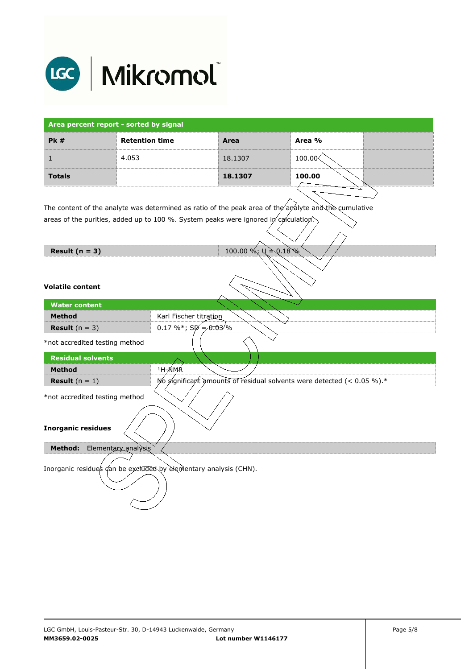

| Area percent report - sorted by signal |                       |         |            |  |
|----------------------------------------|-----------------------|---------|------------|--|
| PK#                                    | <b>Retention time</b> | Area    | Area %     |  |
|                                        | 4.053                 | 18.1307 | $100.00\%$ |  |
| <b>Totals</b>                          |                       | 18.1307 | 100.00     |  |

The content of the analyte was determined as ratio of the peak area of the analyte and the cumulative areas of the purities, added up to 100 %. System peaks were ignored in calculation.

| Result $(n = 3)$ |  |  |  |
|------------------|--|--|--|
|------------------|--|--|--|

**100.00 %; U ≥ 0.18 %** 

#### **Volatile content**

| <b>Water content</b>                                             |                                                                        |  |
|------------------------------------------------------------------|------------------------------------------------------------------------|--|
| <b>Method</b>                                                    | Karl Fischer titration                                                 |  |
| <b>Result</b> $(n = 3)$                                          | 0.17 %*; $SD = 0.03$ /%                                                |  |
| *not accredited testing method                                   |                                                                        |  |
| <b>Residual solvents</b>                                         |                                                                        |  |
| <b>Method</b>                                                    | <sup>1</sup> H-NMR                                                     |  |
| <b>Result</b> $(n = 1)$                                          | No significant amounts of residual solvents were detected (< 0.05 %).* |  |
| *not accredited testing method                                   |                                                                        |  |
| <b>Inorganic residues</b>                                        |                                                                        |  |
| Elementary analysis<br><b>Method:</b>                            |                                                                        |  |
| Inorganic residues dan be excluded by elementary analysis (CHN). |                                                                        |  |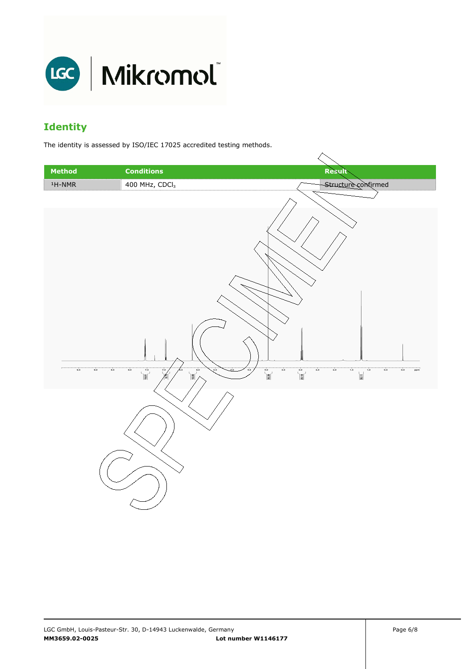

## **Identity**

The identity is assessed by ISO/IEC 17025 accredited testing methods.

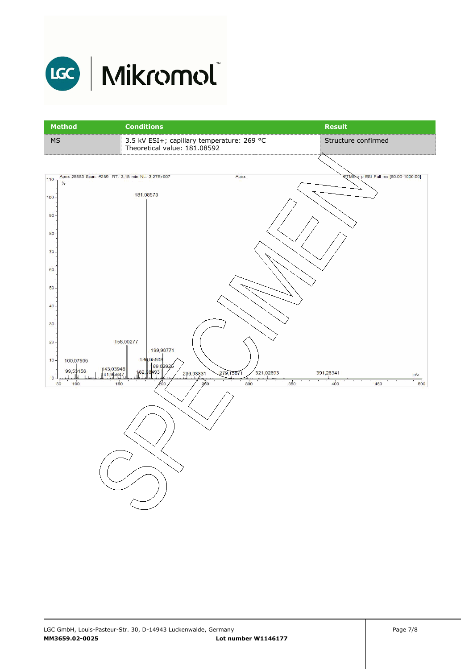

# LGC | Mikromol